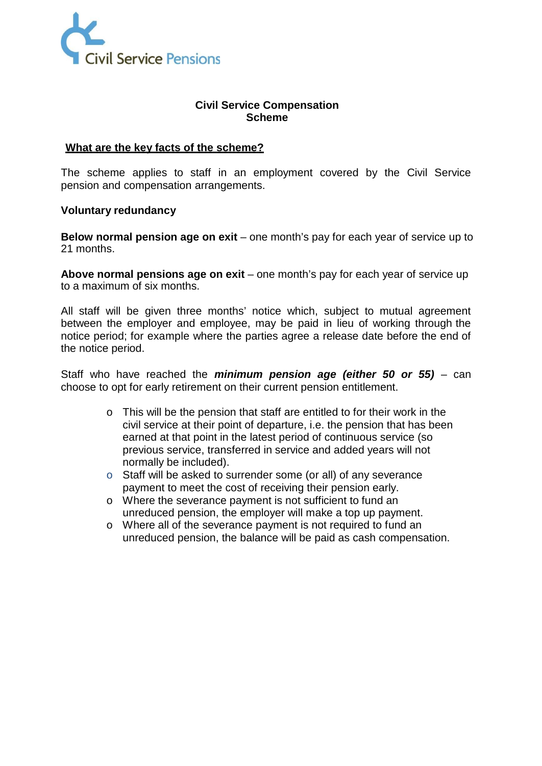

## **Civil Service Compensation Scheme**

#### **What are the key facts of the scheme?**

The scheme applies to staff in an employment covered by the Civil Service pension and compensation arrangements.

#### **Voluntary redundancy**

**Below normal pension age on exit** – one month's pay for each year of service up to 21 months.

**Above normal pensions age on exit** – one month's pay for each year of service up to a maximum of six months.

All staff will be given three months' notice which, subject to mutual agreement between the employer and employee, may be paid in lieu of working through the notice period; for example where the parties agree a release date before the end of the notice period.

Staff who have reached the *minimum pension age (either 50 or 55)* – can choose to opt for early retirement on their current pension entitlement.

- o This will be the pension that staff are entitled to for their work in the civil service at their point of departure, i.e. the pension that has been earned at that point in the latest period of continuous service (so previous service, transferred in service and added years will not normally be included).
- o Staff will be asked to surrender some (or all) of any severance payment to meet the cost of receiving their pension early.
- o Where the severance payment is not sufficient to fund an unreduced pension, the employer will make a top up payment.
- o Where all of the severance payment is not required to fund an unreduced pension, the balance will be paid as cash compensation.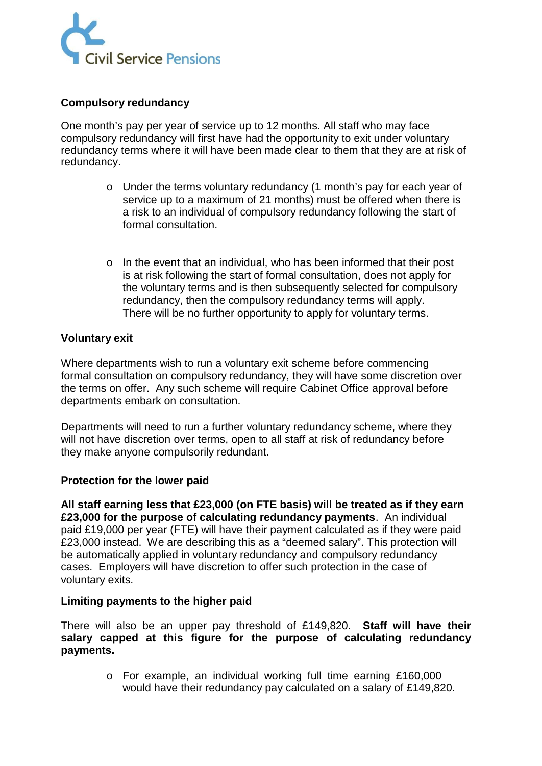

## **Compulsory redundancy**

One month's pay per year of service up to 12 months. All staff who may face compulsory redundancy will first have had the opportunity to exit under voluntary redundancy terms where it will have been made clear to them that they are at risk of redundancy.

- o Under the terms voluntary redundancy (1 month's pay for each year of service up to a maximum of 21 months) must be offered when there is a risk to an individual of compulsory redundancy following the start of formal consultation.
- $\circ$  In the event that an individual, who has been informed that their post is at risk following the start of formal consultation, does not apply for the voluntary terms and is then subsequently selected for compulsory redundancy, then the compulsory redundancy terms will apply. There will be no further opportunity to apply for voluntary terms.

## **Voluntary exit**

Where departments wish to run a voluntary exit scheme before commencing formal consultation on compulsory redundancy, they will have some discretion over the terms on offer. Any such scheme will require Cabinet Office approval before departments embark on consultation.

Departments will need to run a further voluntary redundancy scheme, where they will not have discretion over terms, open to all staff at risk of redundancy before they make anyone compulsorily redundant.

## **Protection for the lower paid**

**All staff earning less that £23,000 (on FTE basis) will be treated as if they earn £23,000 for the purpose of calculating redundancy payments**. An individual paid £19,000 per year (FTE) will have their payment calculated as if they were paid £23,000 instead. We are describing this as a "deemed salary". This protection will be automatically applied in voluntary redundancy and compulsory redundancy cases. Employers will have discretion to offer such protection in the case of voluntary exits.

## **Limiting payments to the higher paid**

There will also be an upper pay threshold of £149,820. **Staff will have their salary capped at this figure for the purpose of calculating redundancy payments.**

> o For example, an individual working full time earning £160,000 would have their redundancy pay calculated on a salary of £149,820.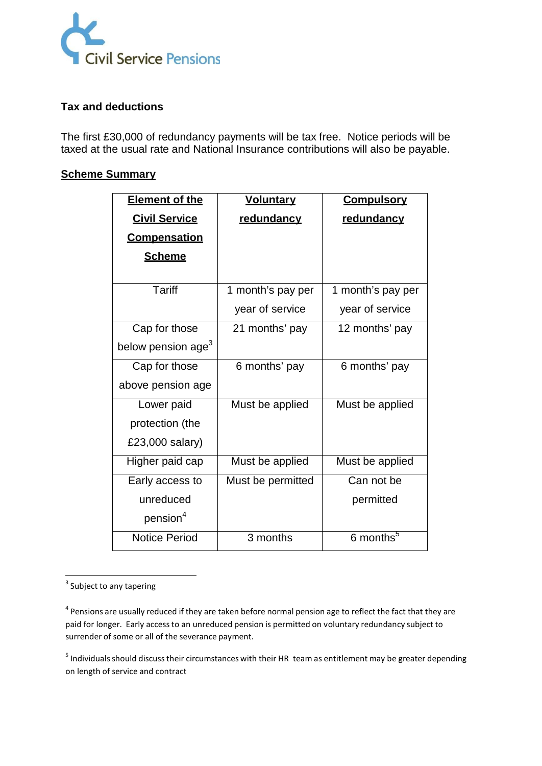

# **Tax and deductions**

The first £30,000 of redundancy payments will be tax free. Notice periods will be taxed at the usual rate and National Insurance contributions will also be payable.

## **Scheme Summary**

| <b>Element of the</b>          | <b>Voluntary</b>  | <b>Compulsory</b>     |
|--------------------------------|-------------------|-----------------------|
| <b>Civil Service</b>           | redundancy        | redundancy            |
| <b>Compensation</b>            |                   |                       |
| <b>Scheme</b>                  |                   |                       |
|                                |                   |                       |
| <b>Tariff</b>                  | 1 month's pay per | 1 month's pay per     |
|                                | year of service   | year of service       |
| Cap for those                  | 21 months' pay    | 12 months' pay        |
| below pension age <sup>3</sup> |                   |                       |
| Cap for those                  | 6 months' pay     | 6 months' pay         |
| above pension age              |                   |                       |
| Lower paid                     | Must be applied   | Must be applied       |
| protection (the                |                   |                       |
| £23,000 salary)                |                   |                       |
| Higher paid cap                | Must be applied   | Must be applied       |
| Early access to                | Must be permitted | Can not be            |
| unreduced                      |                   | permitted             |
| pension <sup>4</sup>           |                   |                       |
| <b>Notice Period</b>           | 3 months          | 6 months <sup>5</sup> |

 $3$  Subject to any tapering

 $4$  Pensions are usually reduced if they are taken before normal pension age to reflect the fact that they are paid for longer. Early accessto an unreduced pension is permitted on voluntary redundancy subject to surrender of some or all of the severance payment.

 $<sup>5</sup>$  Individuals should discuss their circumstances with their HR team as entitlement may be greater depending</sup> on length of service and contract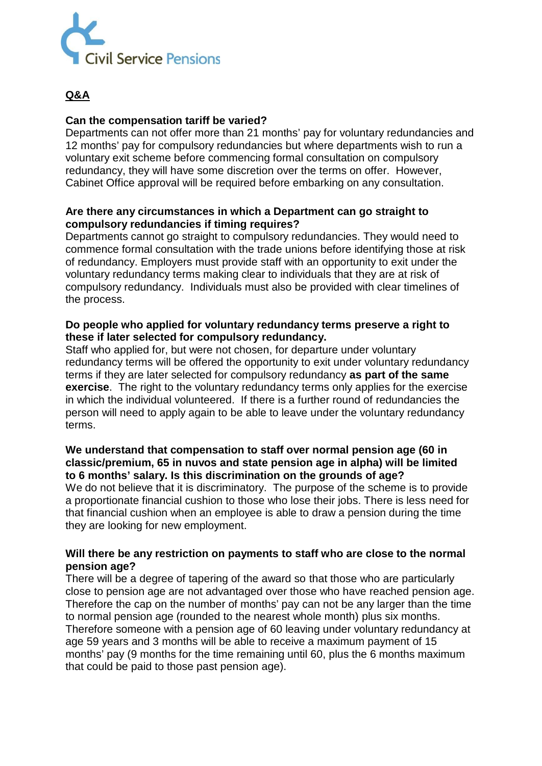

# **Q&A**

#### **Can the compensation tariff be varied?**

Departments can not offer more than 21 months' pay for voluntary redundancies and 12 months' pay for compulsory redundancies but where departments wish to run a voluntary exit scheme before commencing formal consultation on compulsory redundancy, they will have some discretion over the terms on offer. However, Cabinet Office approval will be required before embarking on any consultation.

#### **Are there any circumstances in which a Department can go straight to compulsory redundancies if timing requires?**

Departments cannot go straight to compulsory redundancies. They would need to commence formal consultation with the trade unions before identifying those at risk of redundancy. Employers must provide staff with an opportunity to exit under the voluntary redundancy terms making clear to individuals that they are at risk of compulsory redundancy. Individuals must also be provided with clear timelines of the process.

#### **Do people who applied for voluntary redundancy terms preserve a right to these if later selected for compulsory redundancy.**

Staff who applied for, but were not chosen, for departure under voluntary redundancy terms will be offered the opportunity to exit under voluntary redundancy terms if they are later selected for compulsory redundancy **as part of the same exercise**. The right to the voluntary redundancy terms only applies for the exercise in which the individual volunteered. If there is a further round of redundancies the person will need to apply again to be able to leave under the voluntary redundancy terms.

## **We understand that compensation to staff over normal pension age (60 in classic/premium, 65 in nuvos and state pension age in alpha) will be limited to 6 months' salary. Is this discrimination on the grounds of age?**

We do not believe that it is discriminatory. The purpose of the scheme is to provide a proportionate financial cushion to those who lose their jobs. There is less need for that financial cushion when an employee is able to draw a pension during the time they are looking for new employment.

## **Will there be any restriction on payments to staff who are close to the normal pension age?**

There will be a degree of tapering of the award so that those who are particularly close to pension age are not advantaged over those who have reached pension age. Therefore the cap on the number of months' pay can not be any larger than the time to normal pension age (rounded to the nearest whole month) plus six months. Therefore someone with a pension age of 60 leaving under voluntary redundancy at age 59 years and 3 months will be able to receive a maximum payment of 15 months' pay (9 months for the time remaining until 60, plus the 6 months maximum that could be paid to those past pension age).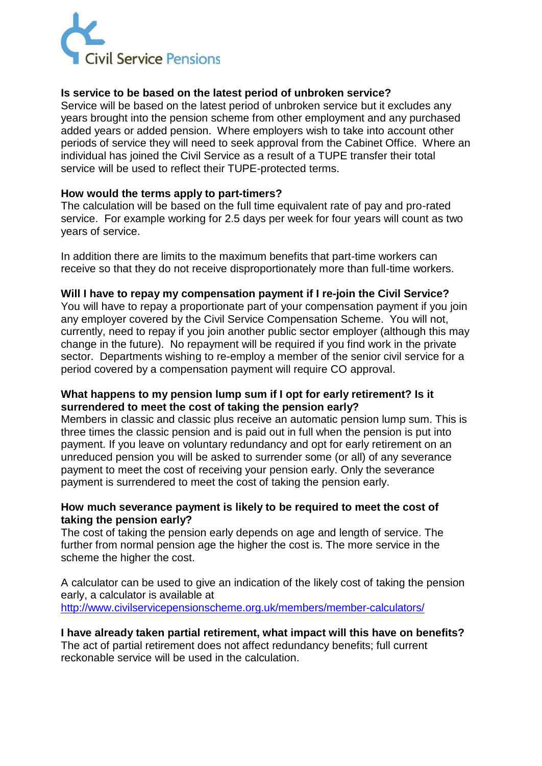

## **Is service to be based on the latest period of unbroken service?**

Service will be based on the latest period of unbroken service but it excludes any years brought into the pension scheme from other employment and any purchased added years or added pension. Where employers wish to take into account other periods of service they will need to seek approval from the Cabinet Office. Where an individual has joined the Civil Service as a result of a TUPE transfer their total service will be used to reflect their TUPE-protected terms.

#### **How would the terms apply to part-timers?**

The calculation will be based on the full time equivalent rate of pay and pro-rated service. For example working for 2.5 days per week for four years will count as two years of service.

In addition there are limits to the maximum benefits that part-time workers can receive so that they do not receive disproportionately more than full-time workers.

#### **Will I have to repay my compensation payment if I re-join the Civil Service?**

You will have to repay a proportionate part of your compensation payment if you join any employer covered by the Civil Service Compensation Scheme. You will not, currently, need to repay if you join another public sector employer (although this may change in the future). No repayment will be required if you find work in the private sector. Departments wishing to re-employ a member of the senior civil service for a period covered by a compensation payment will require CO approval.

#### **What happens to my pension lump sum if I opt for early retirement? Is it surrendered to meet the cost of taking the pension early?**

Members in classic and classic plus receive an automatic pension lump sum. This is three times the classic pension and is paid out in full when the pension is put into payment. If you leave on voluntary redundancy and opt for early retirement on an unreduced pension you will be asked to surrender some (or all) of any severance payment to meet the cost of receiving your pension early. Only the severance payment is surrendered to meet the cost of taking the pension early.

## **How much severance payment is likely to be required to meet the cost of taking the pension early?**

The cost of taking the pension early depends on age and length of service. The further from normal pension age the higher the cost is. The more service in the scheme the higher the cost.

A calculator can be used to give an indication of the likely cost of taking the pension early, a calculator is available at <http://www.civilservicepensionscheme.org.uk/members/member-calculators/>

## **I have already taken partial retirement, what impact will this have on benefits?**

The act of partial retirement does not affect redundancy benefits; full current reckonable service will be used in the calculation.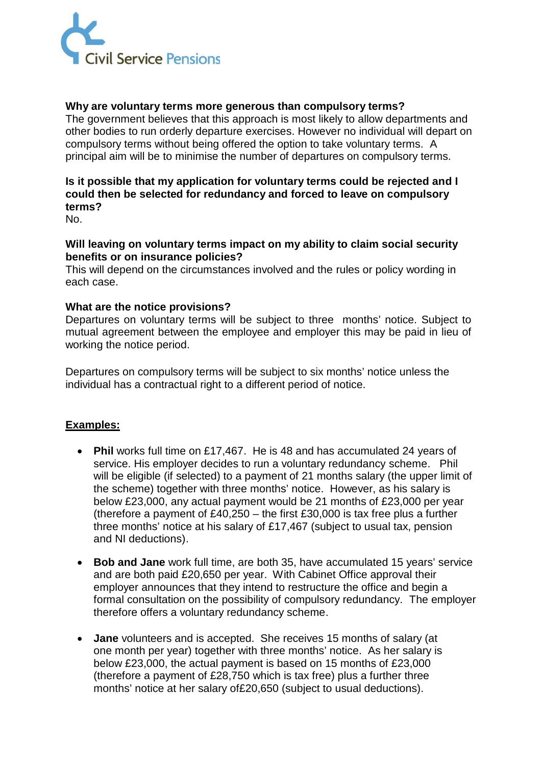

## **Why are voluntary terms more generous than compulsory terms?**

The government believes that this approach is most likely to allow departments and other bodies to run orderly departure exercises. However no individual will depart on compulsory terms without being offered the option to take voluntary terms. A principal aim will be to minimise the number of departures on compulsory terms.

# **Is it possible that my application for voluntary terms could be rejected and I could then be selected for redundancy and forced to leave on compulsory terms?**

No.

#### **Will leaving on voluntary terms impact on my ability to claim social security benefits or on insurance policies?**

This will depend on the circumstances involved and the rules or policy wording in each case.

#### **What are the notice provisions?**

Departures on voluntary terms will be subject to three months' notice. Subject to mutual agreement between the employee and employer this may be paid in lieu of working the notice period.

Departures on compulsory terms will be subject to six months' notice unless the individual has a contractual right to a different period of notice.

## **Examples:**

- **Phil** works full time on £17,467. He is 48 and has accumulated 24 years of service. His employer decides to run a voluntary redundancy scheme. Phil will be eligible (if selected) to a payment of 21 months salary (the upper limit of the scheme) together with three months' notice. However, as his salary is below £23,000, any actual payment would be 21 months of £23,000 per year (therefore a payment of  $£40,250 -$  the first  $£30,000$  is tax free plus a further three months' notice at his salary of £17,467 (subject to usual tax, pension and NI deductions).
- **Bob and Jane** work full time, are both 35, have accumulated 15 years' service and are both paid £20,650 per year. With Cabinet Office approval their employer announces that they intend to restructure the office and begin a formal consultation on the possibility of compulsory redundancy. The employer therefore offers a voluntary redundancy scheme.
- **Jane** volunteers and is accepted. She receives 15 months of salary (at one month per year) together with three months' notice. As her salary is below £23,000, the actual payment is based on 15 months of £23,000 (therefore a payment of £28,750 which is tax free) plus a further three months' notice at her salary of£20,650 (subject to usual deductions).